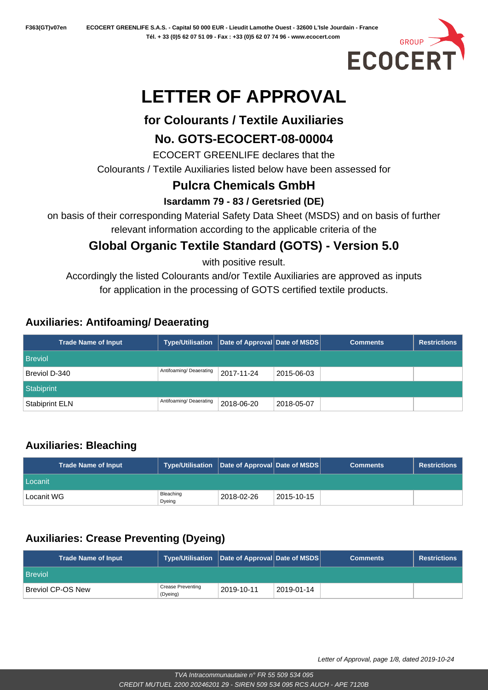

# **LETTER OF APPROVAL**

## **for Colourants / Textile Auxiliaries**

#### **No. GOTS-ECOCERT-08-00004**

ECOCERT GREENLIFE declares that the

Colourants / Textile Auxiliaries listed below have been assessed for

## **Pulcra Chemicals GmbH**

#### **Isardamm 79 - 83 / Geretsried (DE)**

on basis of their corresponding Material Safety Data Sheet (MSDS) and on basis of further relevant information according to the applicable criteria of the

# **Global Organic Textile Standard (GOTS) - Version 5.0**

with positive result.

Accordingly the listed Colourants and/or Textile Auxiliaries are approved as inputs for application in the processing of GOTS certified textile products.

#### **Auxiliaries: Antifoaming/ Deaerating**

| <b>Trade Name of Input</b> | <b>Type/Utilisation</b> | Date of Approval Date of MSDS |            | <b>Comments</b> | <b>Restrictions</b> |
|----------------------------|-------------------------|-------------------------------|------------|-----------------|---------------------|
| <b>Breviol</b>             |                         |                               |            |                 |                     |
| Breviol D-340              | Antifoaming/ Deaerating | 2017-11-24                    | 2015-06-03 |                 |                     |
| Stabiprint                 |                         |                               |            |                 |                     |
| <b>Stabiprint ELN</b>      | Antifoaming/ Deaerating | 2018-06-20                    | 2018-05-07 |                 |                     |

## **Auxiliaries: Bleaching**

| <b>Trade Name of Input</b> | Type/Utilisation   Date of Approval Date of MSDS |            |            | <b>Comments</b> | <b>Restrictions</b> |
|----------------------------|--------------------------------------------------|------------|------------|-----------------|---------------------|
| l Locanit                  |                                                  |            |            |                 |                     |
| Locanit WG                 | Bleaching<br>Dyeing                              | 2018-02-26 | 2015-10-15 |                 |                     |

## **Auxiliaries: Crease Preventing (Dyeing)**

| <b>Trade Name of Input</b>     | Type/Utilisation Date of Approval Date of MSDS |            |            | <b>Comments</b> | <b>Restrictions</b> |
|--------------------------------|------------------------------------------------|------------|------------|-----------------|---------------------|
| <b>Breviol</b>                 |                                                |            |            |                 |                     |
| <sup>⊦</sup> Breviol CP-OS New | <b>Crease Preventing</b><br>(Dyeing)           | 2019-10-11 | 2019-01-14 |                 |                     |

Letter of Approval, page 1/8, dated 2019-10-24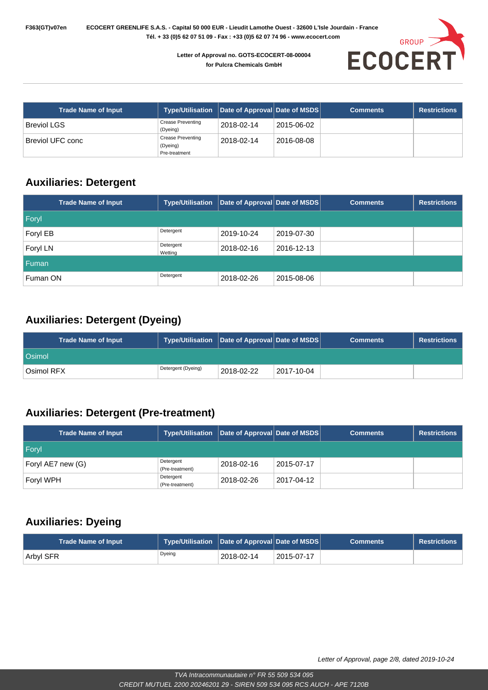

| <b>Trade Name of Input</b> | Type/Utilisation   Date of Approval   Date of MSDS    |            |            | <b>Comments</b> | <b>Restrictions</b> |
|----------------------------|-------------------------------------------------------|------------|------------|-----------------|---------------------|
| <b>Breviol LGS</b>         | <b>Crease Preventing</b><br>(Dyeing)                  | 2018-02-14 | 2015-06-02 |                 |                     |
| Breviol UFC conc           | <b>Crease Preventing</b><br>(Dyeing)<br>Pre-treatment | 2018-02-14 | 2016-08-08 |                 |                     |

#### **Auxiliaries: Detergent**

| <b>Trade Name of Input</b> | <b>Type/Utilisation</b> | Date of Approval Date of MSDS |            | <b>Comments</b> | <b>Restrictions</b> |
|----------------------------|-------------------------|-------------------------------|------------|-----------------|---------------------|
| Foryl                      |                         |                               |            |                 |                     |
| Foryl EB                   | Detergent               | 2019-10-24                    | 2019-07-30 |                 |                     |
| Foryl LN                   | Detergent<br>Wetting    | 2018-02-16                    | 2016-12-13 |                 |                     |
| <b>Fuman</b>               |                         |                               |            |                 |                     |
| Fuman ON                   | Detergent               | 2018-02-26                    | 2015-08-06 |                 |                     |

#### **Auxiliaries: Detergent (Dyeing)**

| <b>Trade Name of Input</b> | Type/Utilisation   Date of Approval   Date of MSDS |                   |            | <b>Comments</b> | <b>Restrictions</b> |
|----------------------------|----------------------------------------------------|-------------------|------------|-----------------|---------------------|
| <b>Osimol</b>              |                                                    |                   |            |                 |                     |
| Osimol RFX                 | Detergent (Dyeing)                                 | $12018 - 02 - 22$ | 2017-10-04 |                 |                     |

## **Auxiliaries: Detergent (Pre-treatment)**

| <b>Trade Name of Input</b> | Type/Utilisation   Date of Approval   Date of MSDS |            |            | <b>Comments</b> | <b>Restrictions</b> |
|----------------------------|----------------------------------------------------|------------|------------|-----------------|---------------------|
| <b>Foryl</b>               |                                                    |            |            |                 |                     |
| Foryl AE7 new (G)          | Detergent<br>(Pre-treatment)                       | 2018-02-16 | 2015-07-17 |                 |                     |
| Foryl WPH                  | Detergent<br>(Pre-treatment)                       | 2018-02-26 | 2017-04-12 |                 |                     |

#### **Auxiliaries: Dyeing**

| <b>Trade Name of Input</b> | Type/Utilisation Date of Approval Date of MSDS |            |            | <b>Comments</b> | <b>Restrictions</b> |
|----------------------------|------------------------------------------------|------------|------------|-----------------|---------------------|
| <b>Arbyl SFR</b>           | Dyeing                                         | 2018-02-14 | 2015-07-17 |                 |                     |

Letter of Approval, page 2/8, dated 2019-10-24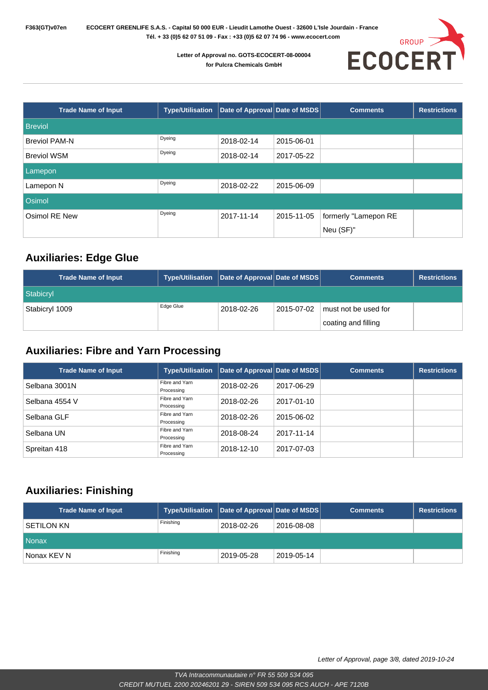

| <b>Trade Name of Input</b> | <b>Type/Utilisation</b> | Date of Approval Date of MSDS |            | <b>Comments</b>      | <b>Restrictions</b> |
|----------------------------|-------------------------|-------------------------------|------------|----------------------|---------------------|
| <b>Breviol</b>             |                         |                               |            |                      |                     |
| <b>Breviol PAM-N</b>       | Dyeing                  | 2018-02-14                    | 2015-06-01 |                      |                     |
| <b>Breviol WSM</b>         | Dyeing                  | 2018-02-14                    | 2017-05-22 |                      |                     |
| Lamepon                    |                         |                               |            |                      |                     |
| Lamepon N                  | Dyeing                  | 2018-02-22                    | 2015-06-09 |                      |                     |
| Osimol                     |                         |                               |            |                      |                     |
| Osimol RE New              | Dyeing                  | 2017-11-14                    | 2015-11-05 | formerly "Lamepon RE |                     |
|                            |                         |                               |            | Neu (SF)"            |                     |

#### **Auxiliaries: Edge Glue**

| <b>Trade Name of Input</b> | Type/Utilisation Date of Approval Date of MSDS |            |            | <b>Comments</b>      | <b>Restrictions</b> |
|----------------------------|------------------------------------------------|------------|------------|----------------------|---------------------|
| Stabicryl                  |                                                |            |            |                      |                     |
| Stabicryl 1009             | Edge Glue                                      | 2018-02-26 | 2015-07-02 | must not be used for |                     |
|                            |                                                |            |            | coating and filling  |                     |

#### **Auxiliaries: Fibre and Yarn Processing**

| <b>Trade Name of Input</b> | <b>Type/Utilisation</b>      | Date of Approval Date of MSDS |            | <b>Comments</b> | <b>Restrictions</b> |
|----------------------------|------------------------------|-------------------------------|------------|-----------------|---------------------|
| Selbana 3001N              | Fibre and Yarn<br>Processing | 2018-02-26                    | 2017-06-29 |                 |                     |
| Selbana 4554 V             | Fibre and Yarn<br>Processing | 2018-02-26                    | 2017-01-10 |                 |                     |
| Selbana GLF                | Fibre and Yarn<br>Processing | 2018-02-26                    | 2015-06-02 |                 |                     |
| Selbana UN                 | Fibre and Yarn<br>Processing | 2018-08-24                    | 2017-11-14 |                 |                     |
| Spreitan 418               | Fibre and Yarn<br>Processing | 2018-12-10                    | 2017-07-03 |                 |                     |

#### **Auxiliaries: Finishing**

| <b>Trade Name of Input</b> | Type/Utilisation Date of Approval Date of MSDS |            |            | <b>Comments</b> | <b>Restrictions</b> |
|----------------------------|------------------------------------------------|------------|------------|-----------------|---------------------|
| I SETILON KN               | Finishing                                      | 2018-02-26 | 2016-08-08 |                 |                     |
| Nonax                      |                                                |            |            |                 |                     |
| Nonax KEV N                | Finishing                                      | 2019-05-28 | 2019-05-14 |                 |                     |

Letter of Approval, page 3/8, dated 2019-10-24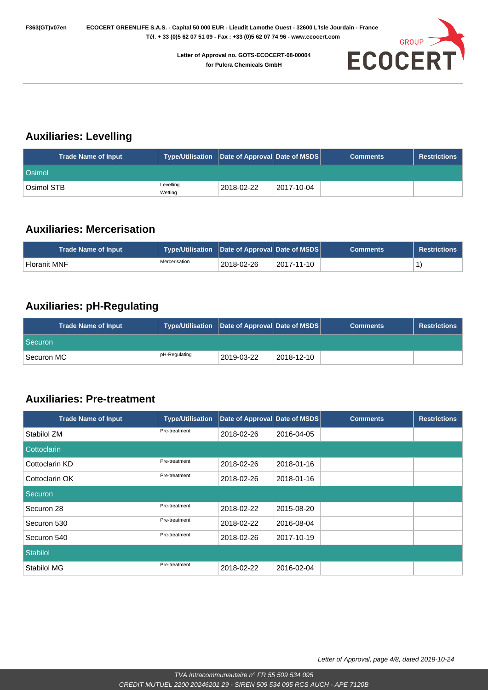

#### **Auxiliaries: Levelling**

| <b>Trade Name of Input</b> | Type/Utilisation Date of Approval Date of MSDS |            |            | <b>Comments</b> | <b>Restrictions</b> |
|----------------------------|------------------------------------------------|------------|------------|-----------------|---------------------|
| <b>Osimol</b>              |                                                |            |            |                 |                     |
| ็Osimol STB                | Levelling<br>Wetting                           | 2018-02-22 | 2017-10-04 |                 |                     |

#### **Auxiliaries: Mercerisation**

| <b>Trade Name of Input</b> | Type/Utilisation   Date of Approval   Date of MSDS |            |                          | <b>Comments</b> | <b>Restrictions</b> |
|----------------------------|----------------------------------------------------|------------|--------------------------|-----------------|---------------------|
| ' Floranit MNF             | Mercerisation                                      | 2018-02-26 | $\overline{2017}$ -11-10 |                 |                     |

#### **Auxiliaries: pH-Regulating**

| <b>Trade Name of Input</b> | Type/Utilisation Date of Approval Date of MSDS |            |            | <b>Comments</b> | <b>Restrictions</b> |
|----------------------------|------------------------------------------------|------------|------------|-----------------|---------------------|
| Securon                    |                                                |            |            |                 |                     |
| Securon MC                 | pH-Regulating                                  | 2019-03-22 | 2018-12-10 |                 |                     |

#### **Auxiliaries: Pre-treatment**

| <b>Trade Name of Input</b> | <b>Type/Utilisation</b> | Date of Approval Date of MSDS |            | <b>Comments</b> | <b>Restrictions</b> |
|----------------------------|-------------------------|-------------------------------|------------|-----------------|---------------------|
| Stabilol ZM                | Pre-treatment           | 2018-02-26                    | 2016-04-05 |                 |                     |
| Cottoclarin                |                         |                               |            |                 |                     |
| Cottoclarin KD             | Pre-treatment           | 2018-02-26                    | 2018-01-16 |                 |                     |
| Cottoclarin OK             | Pre-treatment           | 2018-02-26                    | 2018-01-16 |                 |                     |
| Securon                    |                         |                               |            |                 |                     |
| Securon 28                 | Pre-treatment           | 2018-02-22                    | 2015-08-20 |                 |                     |
| Securon 530                | Pre-treatment           | 2018-02-22                    | 2016-08-04 |                 |                     |
| Securon 540                | Pre-treatment           | 2018-02-26                    | 2017-10-19 |                 |                     |
| <b>Stabilol</b>            |                         |                               |            |                 |                     |
| Stabilol MG                | Pre-treatment           | 2018-02-22                    | 2016-02-04 |                 |                     |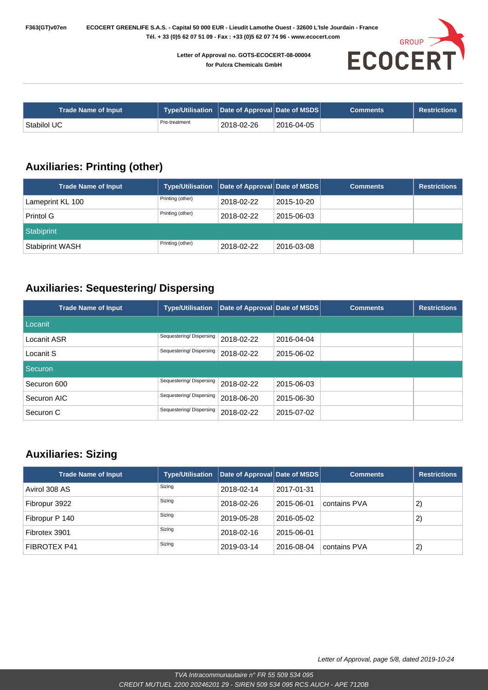

| <b>Trade Name of Input</b> | Type/Utilisation   Date of Approval   Date of MSDS |            |                         | <b>Comments</b> | <b>Restrictions</b> |
|----------------------------|----------------------------------------------------|------------|-------------------------|-----------------|---------------------|
| ' Stabilol UC              | Pre-treatment                                      | 2018-02-26 | 2016-04-05 <sup>+</sup> |                 |                     |

#### **Auxiliaries: Printing (other)**

| <b>Trade Name of Input</b> | <b>Type/Utilisation</b> | Date of Approval Date of MSDS |            | <b>Comments</b> | <b>Restrictions</b> |
|----------------------------|-------------------------|-------------------------------|------------|-----------------|---------------------|
| Lameprint KL 100           | Printing (other)        | 2018-02-22                    | 2015-10-20 |                 |                     |
| Printol G                  | Printing (other)        | 2018-02-22                    | 2015-06-03 |                 |                     |
| Stabiprint                 |                         |                               |            |                 |                     |
| <b>Stabiprint WASH</b>     | Printing (other)        | 2018-02-22                    | 2016-03-08 |                 |                     |

#### **Auxiliaries: Sequestering/ Dispersing**

| <b>Trade Name of Input</b> | <b>Type/Utilisation</b> | Date of Approval Date of MSDS |            | <b>Comments</b> | <b>Restrictions</b> |
|----------------------------|-------------------------|-------------------------------|------------|-----------------|---------------------|
| Locanit                    |                         |                               |            |                 |                     |
| Locanit ASR                | Sequestering/Dispersing | 2018-02-22                    | 2016-04-04 |                 |                     |
| Locanit S                  | Sequestering/Dispersing | 2018-02-22                    | 2015-06-02 |                 |                     |
| Securon                    |                         |                               |            |                 |                     |
| Securon 600                | Sequestering/Dispersing | 2018-02-22                    | 2015-06-03 |                 |                     |
| Securon AIC                | Sequestering/Dispersing | 2018-06-20                    | 2015-06-30 |                 |                     |
| Securon C                  | Sequestering/Dispersing | 2018-02-22                    | 2015-07-02 |                 |                     |

#### **Auxiliaries: Sizing**

| <b>Trade Name of Input</b> | <b>Type/Utilisation</b> | Date of Approval Date of MSDS |            | <b>Comments</b> | <b>Restrictions</b> |
|----------------------------|-------------------------|-------------------------------|------------|-----------------|---------------------|
| Avirol 308 AS              | Sizing                  | 2018-02-14                    | 2017-01-31 |                 |                     |
| Fibropur 3922              | Sizing                  | 2018-02-26                    | 2015-06-01 | contains PVA    | 2)                  |
| Fibropur P 140             | Sizing                  | 2019-05-28                    | 2016-05-02 |                 | 2)                  |
| Fibrotex 3901              | Sizing                  | 2018-02-16                    | 2015-06-01 |                 |                     |
| <b>FIBROTEX P41</b>        | Sizing                  | 2019-03-14                    | 2016-08-04 | contains PVA    | 2)                  |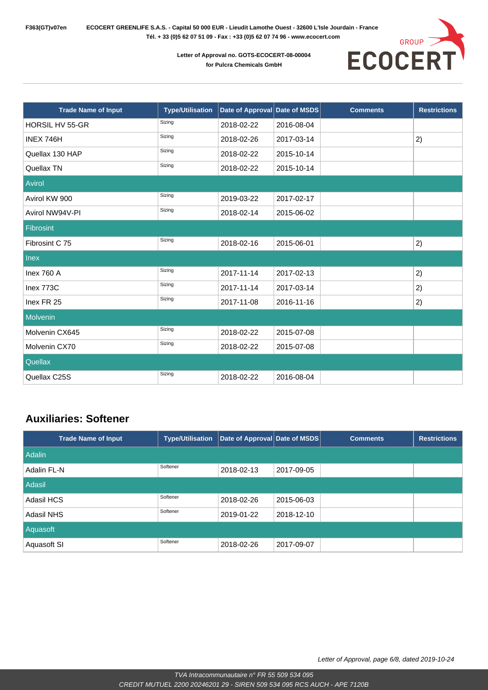



| <b>Trade Name of Input</b> | <b>Type/Utilisation</b> | Date of Approval Date of MSDS |            | <b>Comments</b> | <b>Restrictions</b> |
|----------------------------|-------------------------|-------------------------------|------------|-----------------|---------------------|
| <b>HORSIL HV 55-GR</b>     | Sizing                  | 2018-02-22                    | 2016-08-04 |                 |                     |
| INEX 746H                  | Sizing                  | 2018-02-26                    | 2017-03-14 |                 | 2)                  |
| Quellax 130 HAP            | Sizing                  | 2018-02-22                    | 2015-10-14 |                 |                     |
| Quellax TN                 | Sizing                  | 2018-02-22                    | 2015-10-14 |                 |                     |
| Avirol                     |                         |                               |            |                 |                     |
| Avirol KW 900              | Sizing                  | 2019-03-22                    | 2017-02-17 |                 |                     |
| Avirol NW94V-PI            | Sizing                  | 2018-02-14                    | 2015-06-02 |                 |                     |
| <b>Fibrosint</b>           |                         |                               |            |                 |                     |
| Fibrosint C 75             | Sizing                  | 2018-02-16                    | 2015-06-01 |                 | 2)                  |
| <b>Inex</b>                |                         |                               |            |                 |                     |
| Inex 760 A                 | Sizing                  | 2017-11-14                    | 2017-02-13 |                 | 2)                  |
| Inex 773C                  | Sizing                  | 2017-11-14                    | 2017-03-14 |                 | 2)                  |
| Inex FR 25                 | Sizing                  | 2017-11-08                    | 2016-11-16 |                 | 2)                  |
| Molvenin                   |                         |                               |            |                 |                     |
| Molvenin CX645             | Sizing                  | 2018-02-22                    | 2015-07-08 |                 |                     |
| Molvenin CX70              | Sizing                  | 2018-02-22                    | 2015-07-08 |                 |                     |
| Quellax                    |                         |                               |            |                 |                     |
| Quellax C25S               | Sizing                  | 2018-02-22                    | 2016-08-04 |                 |                     |

#### **Auxiliaries: Softener**

| <b>Trade Name of Input</b> | <b>Type/Utilisation</b> | Date of Approval Date of MSDS |            | <b>Comments</b> | <b>Restrictions</b> |
|----------------------------|-------------------------|-------------------------------|------------|-----------------|---------------------|
| <b>Adalin</b>              |                         |                               |            |                 |                     |
| Adalin FL-N                | Softener                | 2018-02-13                    | 2017-09-05 |                 |                     |
| Adasil                     |                         |                               |            |                 |                     |
| Adasil HCS                 | Softener                | 2018-02-26                    | 2015-06-03 |                 |                     |
| Adasil NHS                 | Softener                | 2019-01-22                    | 2018-12-10 |                 |                     |
| Aquasoft                   |                         |                               |            |                 |                     |
| Aquasoft SI                | Softener                | 2018-02-26                    | 2017-09-07 |                 |                     |

Letter of Approval, page 6/8, dated 2019-10-24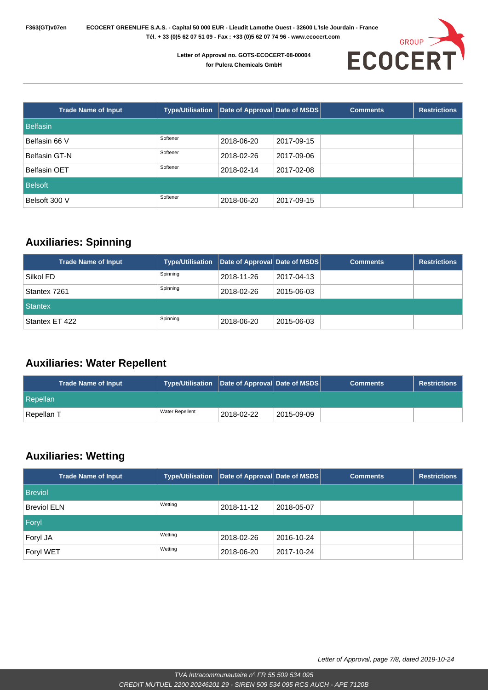

| <b>Trade Name of Input</b> | <b>Type/Utilisation</b> | Date of Approval Date of MSDS |            | <b>Comments</b> | <b>Restrictions</b> |
|----------------------------|-------------------------|-------------------------------|------------|-----------------|---------------------|
| <b>Belfasin</b>            |                         |                               |            |                 |                     |
| Belfasin 66 V              | Softener                | 2018-06-20                    | 2017-09-15 |                 |                     |
| Belfasin GT-N              | Softener                | 2018-02-26                    | 2017-09-06 |                 |                     |
| <b>Belfasin OET</b>        | Softener                | 2018-02-14                    | 2017-02-08 |                 |                     |
| <b>Belsoft</b>             |                         |                               |            |                 |                     |
| Belsoft 300 V              | Softener                | 2018-06-20                    | 2017-09-15 |                 |                     |

#### **Auxiliaries: Spinning**

| <b>Trade Name of Input</b> | <b>Type/Utilisation</b> | Date of Approval Date of MSDS |            | <b>Comments</b> | <b>Restrictions</b> |
|----------------------------|-------------------------|-------------------------------|------------|-----------------|---------------------|
| Silkol FD                  | Spinning                | 12018-11-26                   | 2017-04-13 |                 |                     |
| Stantex 7261               | Spinning                | 2018-02-26                    | 2015-06-03 |                 |                     |
| <b>Stantex</b>             |                         |                               |            |                 |                     |
| Stantex ET 422             | Spinning                | 2018-06-20                    | 2015-06-03 |                 |                     |

#### **Auxiliaries: Water Repellent**

| <b>Trade Name of Input</b> | Type/Utilisation   Date of Approval   Date of MSDS |            |            | <b>Comments</b> | <b>Restrictions</b> |
|----------------------------|----------------------------------------------------|------------|------------|-----------------|---------------------|
| Repellan                   |                                                    |            |            |                 |                     |
| Repellan T                 | <b>Water Repellent</b>                             | 2018-02-22 | 2015-09-09 |                 |                     |

#### **Auxiliaries: Wetting**

| <b>Trade Name of Input</b> | <b>Type/Utilisation</b> | Date of Approval Date of MSDS |            | <b>Comments</b> | <b>Restrictions</b> |
|----------------------------|-------------------------|-------------------------------|------------|-----------------|---------------------|
| <b>Breviol</b>             |                         |                               |            |                 |                     |
| <b>Breviol ELN</b>         | Wetting                 | 2018-11-12                    | 2018-05-07 |                 |                     |
| Foryl                      |                         |                               |            |                 |                     |
| Foryl JA                   | Wetting                 | 2018-02-26                    | 2016-10-24 |                 |                     |
| Foryl WET                  | Wetting                 | 2018-06-20                    | 2017-10-24 |                 |                     |